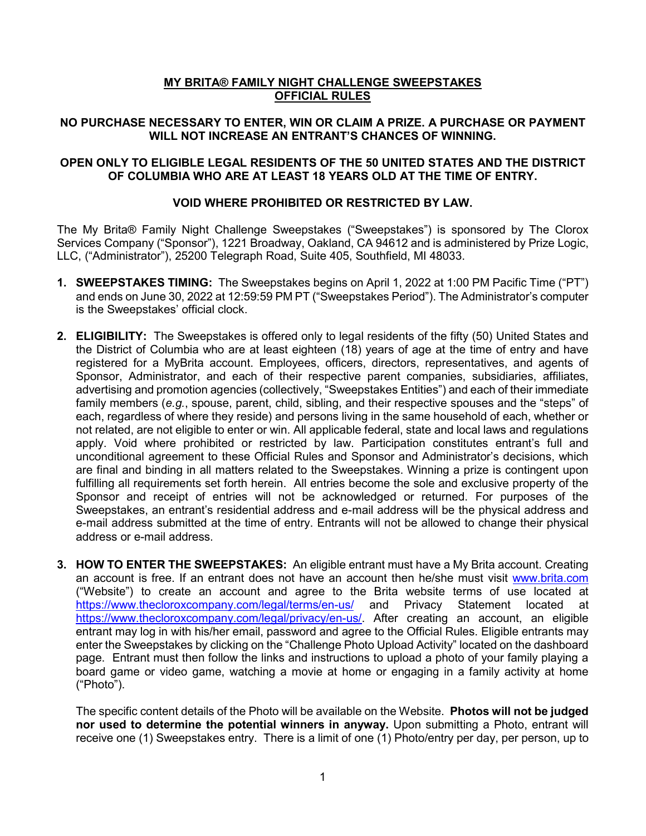# **MY BRITA® FAMILY NIGHT CHALLENGE SWEEPSTAKES OFFICIAL RULES**

## **NO PURCHASE NECESSARY TO ENTER, WIN OR CLAIM A PRIZE. A PURCHASE OR PAYMENT WILL NOT INCREASE AN ENTRANT'S CHANCES OF WINNING.**

### **OPEN ONLY TO ELIGIBLE LEGAL RESIDENTS OF THE 50 UNITED STATES AND THE DISTRICT OF COLUMBIA WHO ARE AT LEAST 18 YEARS OLD AT THE TIME OF ENTRY.**

## **VOID WHERE PROHIBITED OR RESTRICTED BY LAW.**

The My Brita® Family Night Challenge Sweepstakes ("Sweepstakes") is sponsored by The Clorox Services Company ("Sponsor"), 1221 Broadway, Oakland, CA 94612 and is administered by Prize Logic, LLC, ("Administrator"), 25200 Telegraph Road, Suite 405, Southfield, MI 48033.

- **1. SWEEPSTAKES TIMING:** The Sweepstakes begins on April 1, 2022 at 1:00 PM Pacific Time ("PT") and ends on June 30, 2022 at 12:59:59 PM PT ("Sweepstakes Period"). The Administrator's computer is the Sweepstakes' official clock.
- **2. ELIGIBILITY:** The Sweepstakes is offered only to legal residents of the fifty (50) United States and the District of Columbia who are at least eighteen (18) years of age at the time of entry and have registered for a MyBrita account. Employees, officers, directors, representatives, and agents of Sponsor, Administrator, and each of their respective parent companies, subsidiaries, affiliates, advertising and promotion agencies (collectively, "Sweepstakes Entities") and each of their immediate family members (*e.g.*, spouse, parent, child, sibling, and their respective spouses and the "steps" of each, regardless of where they reside) and persons living in the same household of each, whether or not related, are not eligible to enter or win. All applicable federal, state and local laws and regulations apply. Void where prohibited or restricted by law. Participation constitutes entrant's full and unconditional agreement to these Official Rules and Sponsor and Administrator's decisions, which are final and binding in all matters related to the Sweepstakes. Winning a prize is contingent upon fulfilling all requirements set forth herein. All entries become the sole and exclusive property of the Sponsor and receipt of entries will not be acknowledged or returned. For purposes of the Sweepstakes, an entrant's residential address and e-mail address will be the physical address and e-mail address submitted at the time of entry. Entrants will not be allowed to change their physical address or e-mail address.
- **3. HOW TO ENTER THE SWEEPSTAKES:** An eligible entrant must have a My Brita account. Creating an account is free. If an entrant does not have an account then he/she must visit [www.brita.com](http://www.brita.com/) ("Website") to create an account and agree to the Brita website terms of use located at <https://www.thecloroxcompany.com/legal/terms/en-us/> and Privacy Statement located at [https://www.thecloroxcompany.com/legal/privacy/en-us/.](https://www.thecloroxcompany.com/legal/privacy/en-us/) After creating an account, an eligible entrant may log in with his/her email, password and agree to the Official Rules. Eligible entrants may enter the Sweepstakes by clicking on the "Challenge Photo Upload Activity" located on the dashboard page. Entrant must then follow the links and instructions to upload a photo of your family playing a board game or video game, watching a movie at home or engaging in a family activity at home ("Photo").

The specific content details of the Photo will be available on the Website. **Photos will not be judged nor used to determine the potential winners in anyway.** Upon submitting a Photo, entrant will receive one (1) Sweepstakes entry. There is a limit of one (1) Photo/entry per day, per person, up to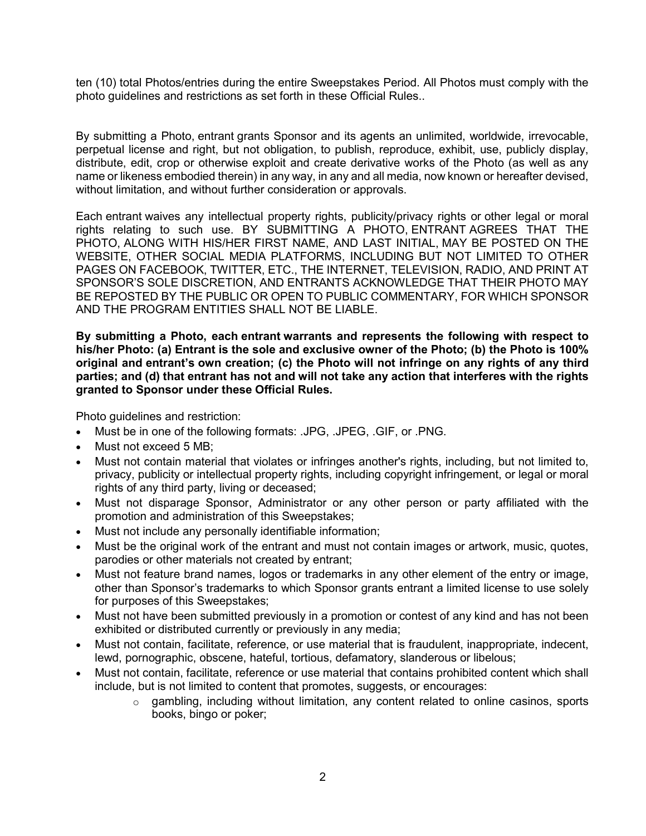ten (10) total Photos/entries during the entire Sweepstakes Period. All Photos must comply with the photo guidelines and restrictions as set forth in these Official Rules..

By submitting a Photo, entrant grants Sponsor and its agents an unlimited, worldwide, irrevocable, perpetual license and right, but not obligation, to publish, reproduce, exhibit, use, publicly display, distribute, edit, crop or otherwise exploit and create derivative works of the Photo (as well as any name or likeness embodied therein) in any way, in any and all media, now known or hereafter devised, without limitation, and without further consideration or approvals.

Each entrant waives any intellectual property rights, publicity/privacy rights or other legal or moral rights relating to such use. BY SUBMITTING A PHOTO, ENTRANT AGREES THAT THE PHOTO, ALONG WITH HIS/HER FIRST NAME, AND LAST INITIAL, MAY BE POSTED ON THE WEBSITE, OTHER SOCIAL MEDIA PLATFORMS, INCLUDING BUT NOT LIMITED TO OTHER PAGES ON FACEBOOK, TWITTER, ETC., THE INTERNET, TELEVISION, RADIO, AND PRINT AT SPONSOR'S SOLE DISCRETION, AND ENTRANTS ACKNOWLEDGE THAT THEIR PHOTO MAY BE REPOSTED BY THE PUBLIC OR OPEN TO PUBLIC COMMENTARY, FOR WHICH SPONSOR AND THE PROGRAM ENTITIES SHALL NOT BE LIABLE.

**By submitting a Photo, each entrant warrants and represents the following with respect to his/her Photo: (a) Entrant is the sole and exclusive owner of the Photo; (b) the Photo is 100% original and entrant's own creation; (c) the Photo will not infringe on any rights of any third parties; and (d) that entrant has not and will not take any action that interferes with the rights granted to Sponsor under these Official Rules.**

Photo guidelines and restriction:

- Must be in one of the following formats: .JPG, .JPEG, .GIF, or .PNG.
- Must not exceed 5 MB;
- Must not contain material that violates or infringes another's rights, including, but not limited to, privacy, publicity or intellectual property rights, including copyright infringement, or legal or moral rights of any third party, living or deceased;
- Must not disparage Sponsor, Administrator or any other person or party affiliated with the promotion and administration of this Sweepstakes;
- Must not include any personally identifiable information;
- Must be the original work of the entrant and must not contain images or artwork, music, quotes, parodies or other materials not created by entrant;
- Must not feature brand names, logos or trademarks in any other element of the entry or image, other than Sponsor's trademarks to which Sponsor grants entrant a limited license to use solely for purposes of this Sweepstakes;
- Must not have been submitted previously in a promotion or contest of any kind and has not been exhibited or distributed currently or previously in any media;
- Must not contain, facilitate, reference, or use material that is fraudulent, inappropriate, indecent, lewd, pornographic, obscene, hateful, tortious, defamatory, slanderous or libelous;
- Must not contain, facilitate, reference or use material that contains prohibited content which shall include, but is not limited to content that promotes, suggests, or encourages:
	- $\circ$  gambling, including without limitation, any content related to online casinos, sports books, bingo or poker;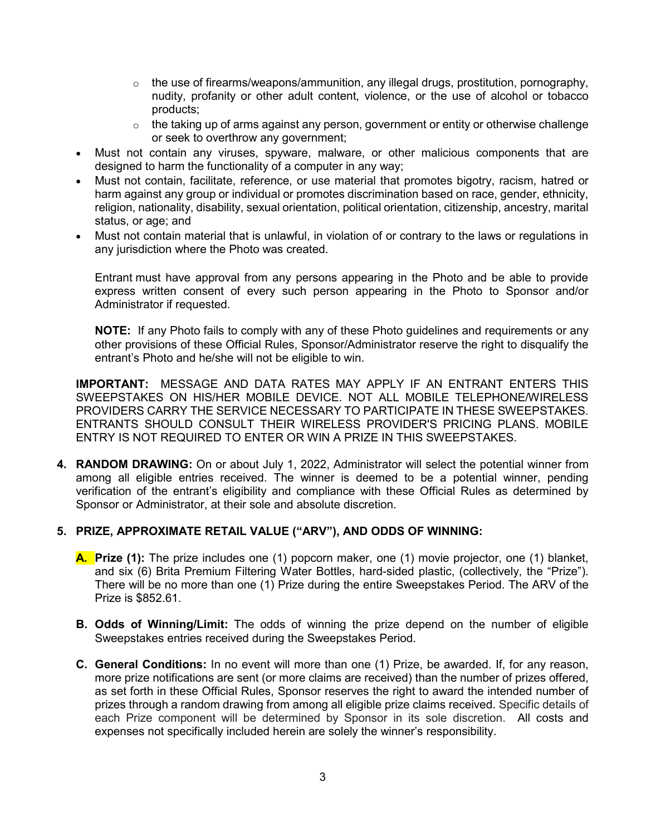- $\circ$  the use of firearms/weapons/ammunition, any illegal drugs, prostitution, pornography, nudity, profanity or other adult content, violence, or the use of alcohol or tobacco products;
- $\circ$  the taking up of arms against any person, government or entity or otherwise challenge or seek to overthrow any government;
- Must not contain any viruses, spyware, malware, or other malicious components that are designed to harm the functionality of a computer in any way;
- Must not contain, facilitate, reference, or use material that promotes bigotry, racism, hatred or harm against any group or individual or promotes discrimination based on race, gender, ethnicity, religion, nationality, disability, sexual orientation, political orientation, citizenship, ancestry, marital status, or age; and
- Must not contain material that is unlawful, in violation of or contrary to the laws or regulations in any jurisdiction where the Photo was created.

Entrant must have approval from any persons appearing in the Photo and be able to provide express written consent of every such person appearing in the Photo to Sponsor and/or Administrator if requested.

**NOTE:** If any Photo fails to comply with any of these Photo guidelines and requirements or any other provisions of these Official Rules, Sponsor/Administrator reserve the right to disqualify the entrant's Photo and he/she will not be eligible to win.

**IMPORTANT:** MESSAGE AND DATA RATES MAY APPLY IF AN ENTRANT ENTERS THIS SWEEPSTAKES ON HIS/HER MOBILE DEVICE. NOT ALL MOBILE TELEPHONE/WIRELESS PROVIDERS CARRY THE SERVICE NECESSARY TO PARTICIPATE IN THESE SWEEPSTAKES. ENTRANTS SHOULD CONSULT THEIR WIRELESS PROVIDER'S PRICING PLANS. MOBILE ENTRY IS NOT REQUIRED TO ENTER OR WIN A PRIZE IN THIS SWEEPSTAKES.

**4. RANDOM DRAWING:** On or about July 1, 2022, Administrator will select the potential winner from among all eligible entries received. The winner is deemed to be a potential winner, pending verification of the entrant's eligibility and compliance with these Official Rules as determined by Sponsor or Administrator, at their sole and absolute discretion.

## **5. PRIZE, APPROXIMATE RETAIL VALUE ("ARV"), AND ODDS OF WINNING:**

- **A. Prize (1):** The prize includes one (1) popcorn maker, one (1) movie projector, one (1) blanket, and six (6) Brita Premium Filtering Water Bottles, hard-sided plastic, (collectively, the "Prize"). There will be no more than one (1) Prize during the entire Sweepstakes Period. The ARV of the Prize is \$852.61.
- **B. Odds of Winning/Limit:** The odds of winning the prize depend on the number of eligible Sweepstakes entries received during the Sweepstakes Period.
- **C. General Conditions:** In no event will more than one (1) Prize, be awarded. If, for any reason, more prize notifications are sent (or more claims are received) than the number of prizes offered, as set forth in these Official Rules, Sponsor reserves the right to award the intended number of prizes through a random drawing from among all eligible prize claims received. Specific details of each Prize component will be determined by Sponsor in its sole discretion.All costs and expenses not specifically included herein are solely the winner's responsibility.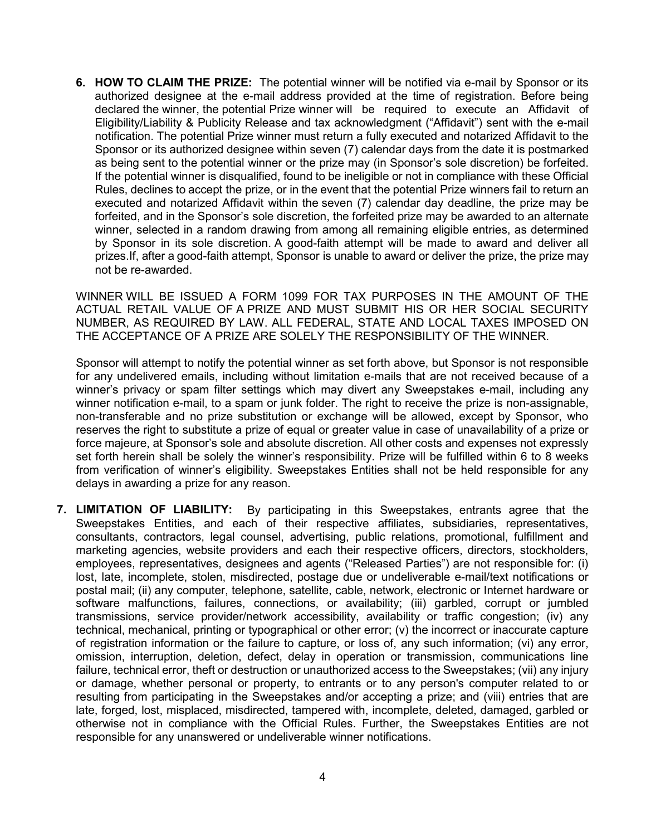**6. HOW TO CLAIM THE PRIZE:** The potential winner will be notified via e-mail by Sponsor or its authorized designee at the e-mail address provided at the time of registration. Before being declared the winner, the potential Prize winner will be required to execute an Affidavit of Eligibility/Liability & Publicity Release and tax acknowledgment ("Affidavit") sent with the e-mail notification. The potential Prize winner must return a fully executed and notarized Affidavit to the Sponsor or its authorized designee within seven (7) calendar days from the date it is postmarked as being sent to the potential winner or the prize may (in Sponsor's sole discretion) be forfeited. If the potential winner is disqualified, found to be ineligible or not in compliance with these Official Rules, declines to accept the prize, or in the event that the potential Prize winners fail to return an executed and notarized Affidavit within the seven (7) calendar day deadline, the prize may be forfeited, and in the Sponsor's sole discretion, the forfeited prize may be awarded to an alternate winner, selected in a random drawing from among all remaining eligible entries, as determined by Sponsor in its sole discretion. A good-faith attempt will be made to award and deliver all prizes.If, after a good-faith attempt, Sponsor is unable to award or deliver the prize, the prize may not be re-awarded.

WINNER WILL BE ISSUED A FORM 1099 FOR TAX PURPOSES IN THE AMOUNT OF THE ACTUAL RETAIL VALUE OF A PRIZE AND MUST SUBMIT HIS OR HER SOCIAL SECURITY NUMBER, AS REQUIRED BY LAW. ALL FEDERAL, STATE AND LOCAL TAXES IMPOSED ON THE ACCEPTANCE OF A PRIZE ARE SOLELY THE RESPONSIBILITY OF THE WINNER.

Sponsor will attempt to notify the potential winner as set forth above, but Sponsor is not responsible for any undelivered emails, including without limitation e-mails that are not received because of a winner's privacy or spam filter settings which may divert any Sweepstakes e-mail, including any winner notification e-mail, to a spam or junk folder. The right to receive the prize is non-assignable, non-transferable and no prize substitution or exchange will be allowed, except by Sponsor, who reserves the right to substitute a prize of equal or greater value in case of unavailability of a prize or force majeure, at Sponsor's sole and absolute discretion. All other costs and expenses not expressly set forth herein shall be solely the winner's responsibility. Prize will be fulfilled within 6 to 8 weeks from verification of winner's eligibility. Sweepstakes Entities shall not be held responsible for any delays in awarding a prize for any reason.

**7. LIMITATION OF LIABILITY:** By participating in this Sweepstakes, entrants agree that the Sweepstakes Entities, and each of their respective affiliates, subsidiaries, representatives, consultants, contractors, legal counsel, advertising, public relations, promotional, fulfillment and marketing agencies, website providers and each their respective officers, directors, stockholders, employees, representatives, designees and agents ("Released Parties") are not responsible for: (i) lost, late, incomplete, stolen, misdirected, postage due or undeliverable e-mail/text notifications or postal mail; (ii) any computer, telephone, satellite, cable, network, electronic or Internet hardware or software malfunctions, failures, connections, or availability; (iii) garbled, corrupt or jumbled transmissions, service provider/network accessibility, availability or traffic congestion; (iv) any technical, mechanical, printing or typographical or other error; (v) the incorrect or inaccurate capture of registration information or the failure to capture, or loss of, any such information; (vi) any error, omission, interruption, deletion, defect, delay in operation or transmission, communications line failure, technical error, theft or destruction or unauthorized access to the Sweepstakes; (vii) any injury or damage, whether personal or property, to entrants or to any person's computer related to or resulting from participating in the Sweepstakes and/or accepting a prize; and (viii) entries that are late, forged, lost, misplaced, misdirected, tampered with, incomplete, deleted, damaged, garbled or otherwise not in compliance with the Official Rules. Further, the Sweepstakes Entities are not responsible for any unanswered or undeliverable winner notifications.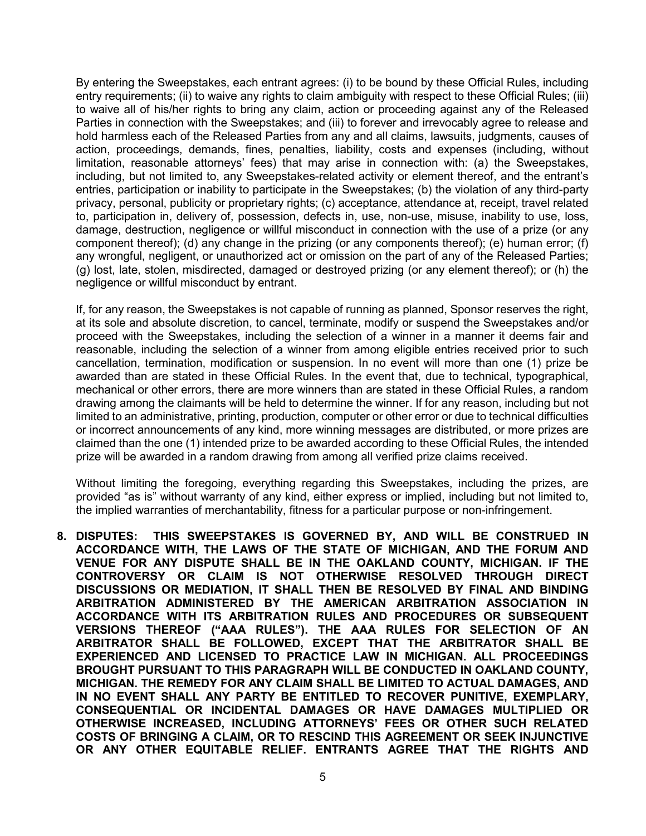By entering the Sweepstakes, each entrant agrees: (i) to be bound by these Official Rules, including entry requirements; (ii) to waive any rights to claim ambiguity with respect to these Official Rules; (iii) to waive all of his/her rights to bring any claim, action or proceeding against any of the Released Parties in connection with the Sweepstakes; and (iii) to forever and irrevocably agree to release and hold harmless each of the Released Parties from any and all claims, lawsuits, judgments, causes of action, proceedings, demands, fines, penalties, liability, costs and expenses (including, without limitation, reasonable attorneys' fees) that may arise in connection with: (a) the Sweepstakes, including, but not limited to, any Sweepstakes-related activity or element thereof, and the entrant's entries, participation or inability to participate in the Sweepstakes; (b) the violation of any third-party privacy, personal, publicity or proprietary rights; (c) acceptance, attendance at, receipt, travel related to, participation in, delivery of, possession, defects in, use, non-use, misuse, inability to use, loss, damage, destruction, negligence or willful misconduct in connection with the use of a prize (or any component thereof); (d) any change in the prizing (or any components thereof); (e) human error; (f) any wrongful, negligent, or unauthorized act or omission on the part of any of the Released Parties; (g) lost, late, stolen, misdirected, damaged or destroyed prizing (or any element thereof); or (h) the negligence or willful misconduct by entrant.

If, for any reason, the Sweepstakes is not capable of running as planned, Sponsor reserves the right, at its sole and absolute discretion, to cancel, terminate, modify or suspend the Sweepstakes and/or proceed with the Sweepstakes, including the selection of a winner in a manner it deems fair and reasonable, including the selection of a winner from among eligible entries received prior to such cancellation, termination, modification or suspension. In no event will more than one (1) prize be awarded than are stated in these Official Rules. In the event that, due to technical, typographical, mechanical or other errors, there are more winners than are stated in these Official Rules, a random drawing among the claimants will be held to determine the winner. If for any reason, including but not limited to an administrative, printing, production, computer or other error or due to technical difficulties or incorrect announcements of any kind, more winning messages are distributed, or more prizes are claimed than the one (1) intended prize to be awarded according to these Official Rules, the intended prize will be awarded in a random drawing from among all verified prize claims received.

Without limiting the foregoing, everything regarding this Sweepstakes, including the prizes, are provided "as is" without warranty of any kind, either express or implied, including but not limited to, the implied warranties of merchantability, fitness for a particular purpose or non-infringement.

**8. DISPUTES: THIS SWEEPSTAKES IS GOVERNED BY, AND WILL BE CONSTRUED IN ACCORDANCE WITH, THE LAWS OF THE STATE OF MICHIGAN, AND THE FORUM AND VENUE FOR ANY DISPUTE SHALL BE IN THE OAKLAND COUNTY, MICHIGAN. IF THE CONTROVERSY OR CLAIM IS NOT OTHERWISE RESOLVED THROUGH DIRECT DISCUSSIONS OR MEDIATION, IT SHALL THEN BE RESOLVED BY FINAL AND BINDING ARBITRATION ADMINISTERED BY THE AMERICAN ARBITRATION ASSOCIATION IN ACCORDANCE WITH ITS ARBITRATION RULES AND PROCEDURES OR SUBSEQUENT VERSIONS THEREOF ("AAA RULES"). THE AAA RULES FOR SELECTION OF AN ARBITRATOR SHALL BE FOLLOWED, EXCEPT THAT THE ARBITRATOR SHALL BE EXPERIENCED AND LICENSED TO PRACTICE LAW IN MICHIGAN. ALL PROCEEDINGS BROUGHT PURSUANT TO THIS PARAGRAPH WILL BE CONDUCTED IN OAKLAND COUNTY, MICHIGAN. THE REMEDY FOR ANY CLAIM SHALL BE LIMITED TO ACTUAL DAMAGES, AND IN NO EVENT SHALL ANY PARTY BE ENTITLED TO RECOVER PUNITIVE, EXEMPLARY, CONSEQUENTIAL OR INCIDENTAL DAMAGES OR HAVE DAMAGES MULTIPLIED OR OTHERWISE INCREASED, INCLUDING ATTORNEYS' FEES OR OTHER SUCH RELATED COSTS OF BRINGING A CLAIM, OR TO RESCIND THIS AGREEMENT OR SEEK INJUNCTIVE OR ANY OTHER EQUITABLE RELIEF. ENTRANTS AGREE THAT THE RIGHTS AND**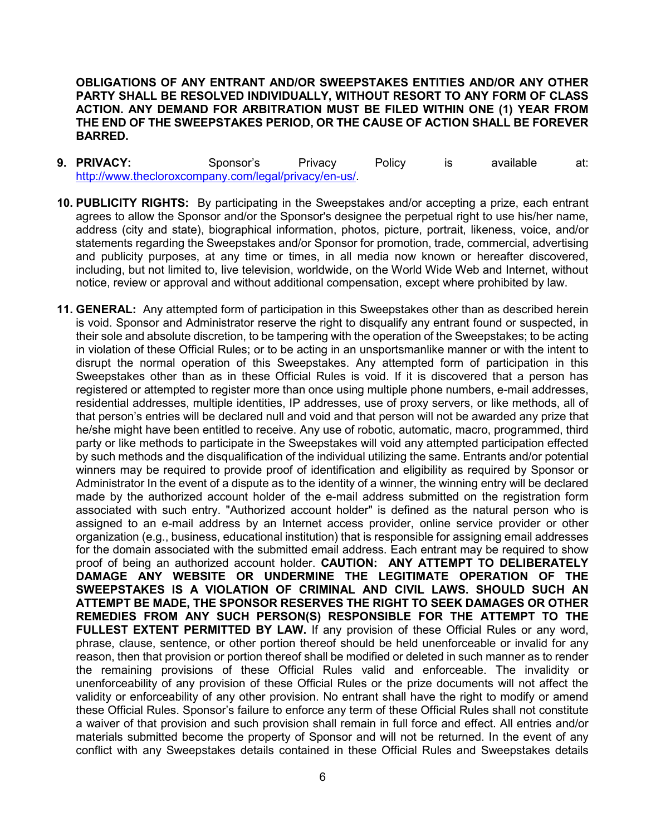**OBLIGATIONS OF ANY ENTRANT AND/OR SWEEPSTAKES ENTITIES AND/OR ANY OTHER PARTY SHALL BE RESOLVED INDIVIDUALLY, WITHOUT RESORT TO ANY FORM OF CLASS ACTION. ANY DEMAND FOR ARBITRATION MUST BE FILED WITHIN ONE (1) YEAR FROM THE END OF THE SWEEPSTAKES PERIOD, OR THE CAUSE OF ACTION SHALL BE FOREVER BARRED.** 

- **9. PRIVACY:** Sponsor's Privacy Policy is available at: [http://www.thecloroxcompany.com/legal/privacy/en-us/.](http://www.thecloroxcompany.com/legal/privacy/en-us/)
- **10. PUBLICITY RIGHTS:** By participating in the Sweepstakes and/or accepting a prize, each entrant agrees to allow the Sponsor and/or the Sponsor's designee the perpetual right to use his/her name, address (city and state), biographical information, photos, picture, portrait, likeness, voice, and/or statements regarding the Sweepstakes and/or Sponsor for promotion, trade, commercial, advertising and publicity purposes, at any time or times, in all media now known or hereafter discovered, including, but not limited to, live television, worldwide, on the World Wide Web and Internet, without notice, review or approval and without additional compensation, except where prohibited by law.
- **11. GENERAL:** Any attempted form of participation in this Sweepstakes other than as described herein is void. Sponsor and Administrator reserve the right to disqualify any entrant found or suspected, in their sole and absolute discretion, to be tampering with the operation of the Sweepstakes; to be acting in violation of these Official Rules; or to be acting in an unsportsmanlike manner or with the intent to disrupt the normal operation of this Sweepstakes. Any attempted form of participation in this Sweepstakes other than as in these Official Rules is void. If it is discovered that a person has registered or attempted to register more than once using multiple phone numbers, e-mail addresses, residential addresses, multiple identities, IP addresses, use of proxy servers, or like methods, all of that person's entries will be declared null and void and that person will not be awarded any prize that he/she might have been entitled to receive. Any use of robotic, automatic, macro, programmed, third party or like methods to participate in the Sweepstakes will void any attempted participation effected by such methods and the disqualification of the individual utilizing the same. Entrants and/or potential winners may be required to provide proof of identification and eligibility as required by Sponsor or Administrator In the event of a dispute as to the identity of a winner, the winning entry will be declared made by the authorized account holder of the e-mail address submitted on the registration form associated with such entry. "Authorized account holder" is defined as the natural person who is assigned to an e-mail address by an Internet access provider, online service provider or other organization (e.g., business, educational institution) that is responsible for assigning email addresses for the domain associated with the submitted email address. Each entrant may be required to show proof of being an authorized account holder. **CAUTION: ANY ATTEMPT TO DELIBERATELY DAMAGE ANY WEBSITE OR UNDERMINE THE LEGITIMATE OPERATION OF THE SWEEPSTAKES IS A VIOLATION OF CRIMINAL AND CIVIL LAWS. SHOULD SUCH AN ATTEMPT BE MADE, THE SPONSOR RESERVES THE RIGHT TO SEEK DAMAGES OR OTHER REMEDIES FROM ANY SUCH PERSON(S) RESPONSIBLE FOR THE ATTEMPT TO THE**  FULLEST EXTENT PERMITTED BY LAW. If any provision of these Official Rules or any word, phrase, clause, sentence, or other portion thereof should be held unenforceable or invalid for any reason, then that provision or portion thereof shall be modified or deleted in such manner as to render the remaining provisions of these Official Rules valid and enforceable. The invalidity or unenforceability of any provision of these Official Rules or the prize documents will not affect the validity or enforceability of any other provision. No entrant shall have the right to modify or amend these Official Rules. Sponsor's failure to enforce any term of these Official Rules shall not constitute a waiver of that provision and such provision shall remain in full force and effect. All entries and/or materials submitted become the property of Sponsor and will not be returned. In the event of any conflict with any Sweepstakes details contained in these Official Rules and Sweepstakes details